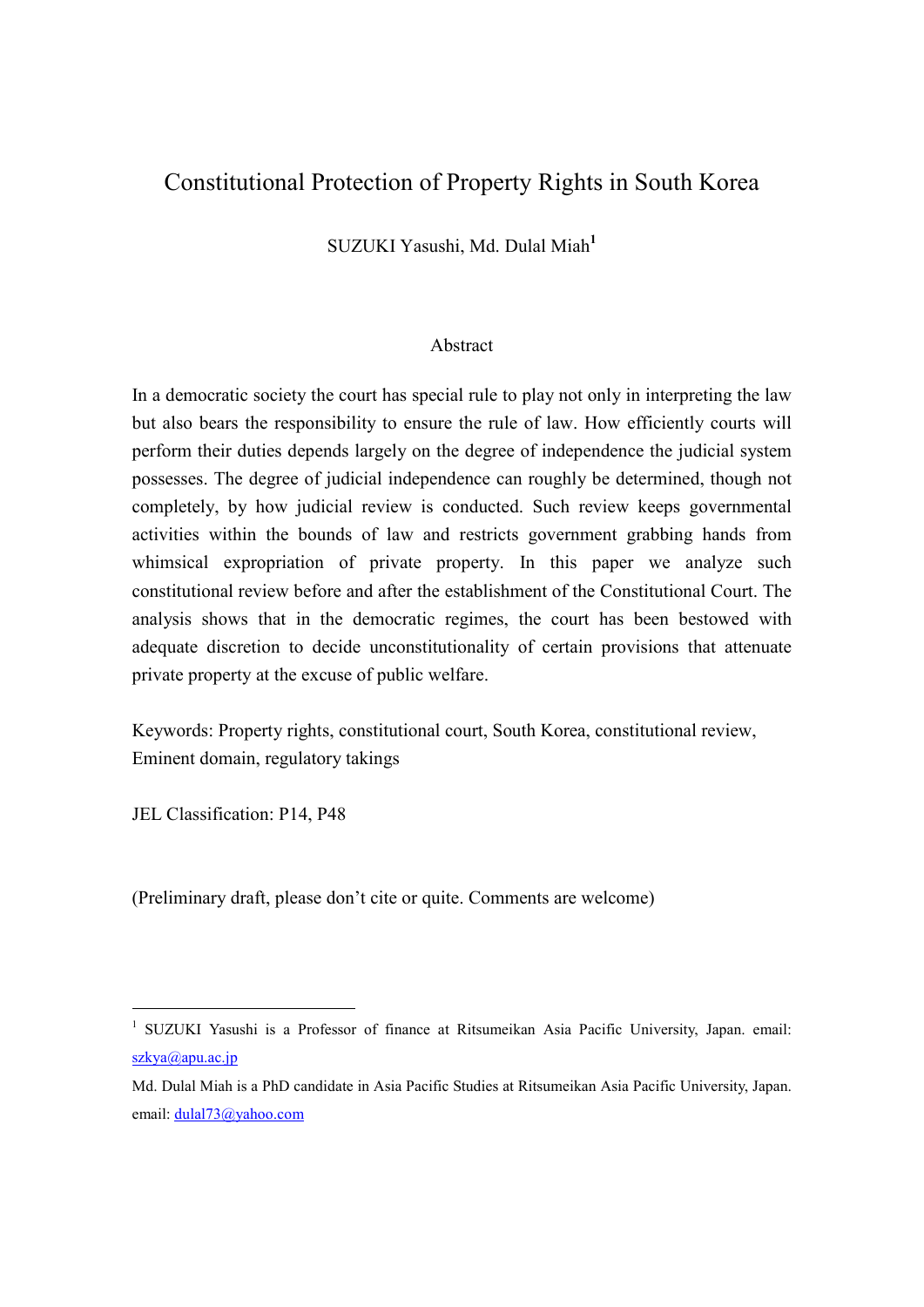# Constitutional Protection of Property Rights in South Korea

SUZUKI Yasushi, Md. Dulal Miah**<sup>1</sup>**

# Abstract

In a democratic society the court has special rule to play not only in interpreting the law but also bears the responsibility to ensure the rule of law. How efficiently courts will perform their duties depends largely on the degree of independence the judicial system possesses. The degree of judicial independence can roughly be determined, though not completely, by how judicial review is conducted. Such review keeps governmental activities within the bounds of law and restricts government grabbing hands from whimsical expropriation of private property. In this paper we analyze such constitutional review before and after the establishment of the Constitutional Court. The analysis shows that in the democratic regimes, the court has been bestowed with adequate discretion to decide unconstitutionality of certain provisions that attenuate private property at the excuse of public welfare.

Keywords: Property rights, constitutional court, South Korea, constitutional review, Eminent domain, regulatory takings

JEL Classification: P14, P48

L

(Preliminary draft, please don't cite or quite. Comments are welcome)

<sup>&</sup>lt;sup>1</sup> SUZUKI Yasushi is a Professor of finance at Ritsumeikan Asia Pacific University, Japan. email: szkya@apu.ac.jp

Md. Dulal Miah is a PhD candidate in Asia Pacific Studies at Ritsumeikan Asia Pacific University, Japan. email: dulal73@yahoo.com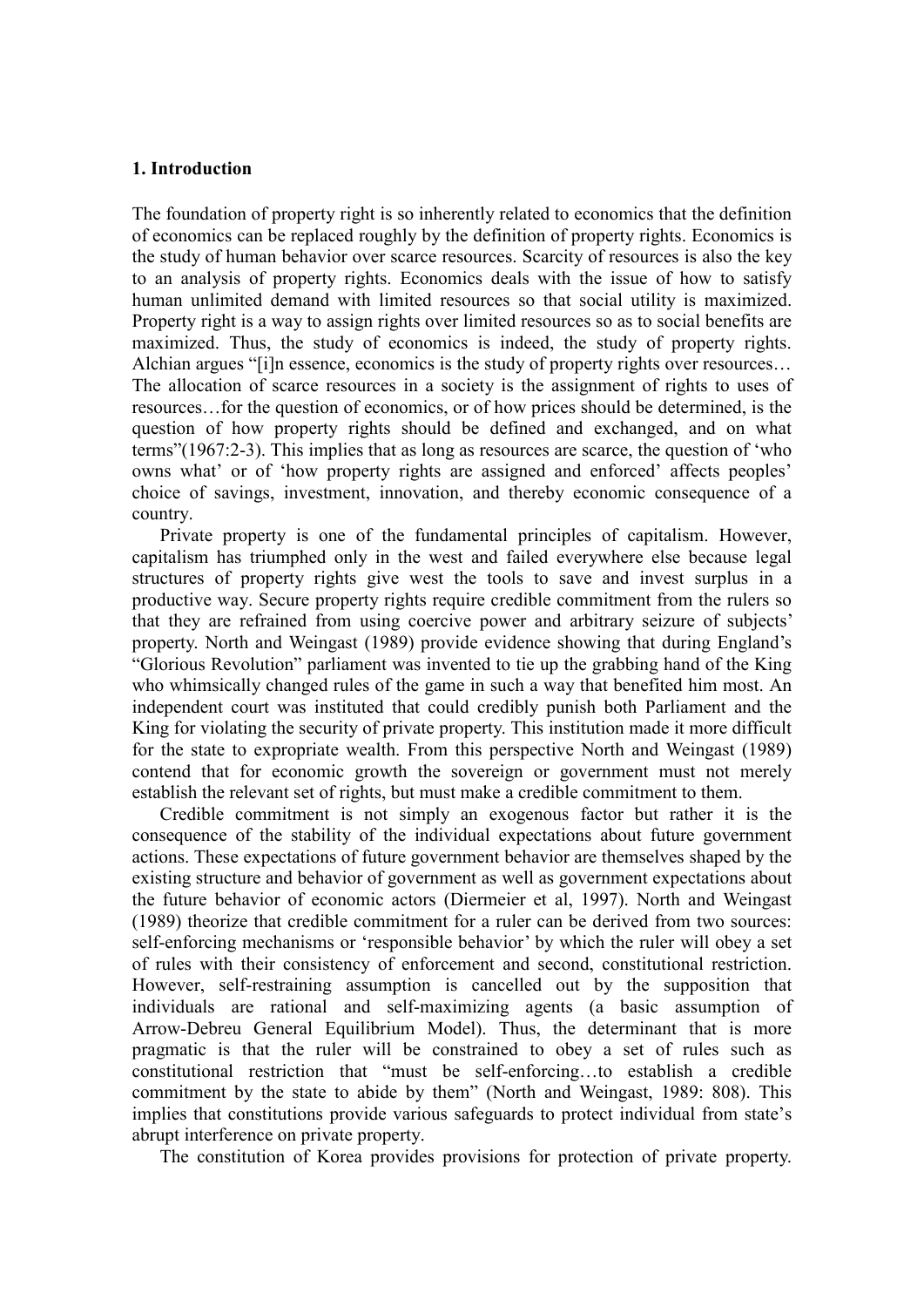## **1. Introduction**

The foundation of property right is so inherently related to economics that the definition of economics can be replaced roughly by the definition of property rights. Economics is the study of human behavior over scarce resources. Scarcity of resources is also the key to an analysis of property rights. Economics deals with the issue of how to satisfy human unlimited demand with limited resources so that social utility is maximized. Property right is a way to assign rights over limited resources so as to social benefits are maximized. Thus, the study of economics is indeed, the study of property rights. Alchian argues "[i]n essence, economics is the study of property rights over resources... The allocation of scarce resources in a society is the assignment of rights to uses of resources…for the question of economics, or of how prices should be determined, is the question of how property rights should be defined and exchanged, and on what terms"(1967:2-3). This implies that as long as resources are scarce, the question of 'who owns what' or of 'how property rights are assigned and enforced' affects peoples' choice of savings, investment, innovation, and thereby economic consequence of a country.

 Private property is one of the fundamental principles of capitalism. However, capitalism has triumphed only in the west and failed everywhere else because legal structures of property rights give west the tools to save and invest surplus in a productive way. Secure property rights require credible commitment from the rulers so that they are refrained from using coercive power and arbitrary seizure of subjects' property. North and Weingast (1989) provide evidence showing that during England's "Glorious Revolution" parliament was invented to tie up the grabbing hand of the King who whimsically changed rules of the game in such a way that benefited him most. An independent court was instituted that could credibly punish both Parliament and the King for violating the security of private property. This institution made it more difficult for the state to expropriate wealth. From this perspective North and Weingast (1989) contend that for economic growth the sovereign or government must not merely establish the relevant set of rights, but must make a credible commitment to them.

 Credible commitment is not simply an exogenous factor but rather it is the consequence of the stability of the individual expectations about future government actions. These expectations of future government behavior are themselves shaped by the existing structure and behavior of government as well as government expectations about the future behavior of economic actors (Diermeier et al, 1997). North and Weingast (1989) theorize that credible commitment for a ruler can be derived from two sources: self-enforcing mechanisms or 'responsible behavior' by which the ruler will obey a set of rules with their consistency of enforcement and second, constitutional restriction. However, self-restraining assumption is cancelled out by the supposition that individuals are rational and self-maximizing agents (a basic assumption of Arrow-Debreu General Equilibrium Model). Thus, the determinant that is more pragmatic is that the ruler will be constrained to obey a set of rules such as constitutional restriction that "must be self-enforcing…to establish a credible commitment by the state to abide by them" (North and Weingast, 1989: 808). This implies that constitutions provide various safeguards to protect individual from state's abrupt interference on private property.

The constitution of Korea provides provisions for protection of private property.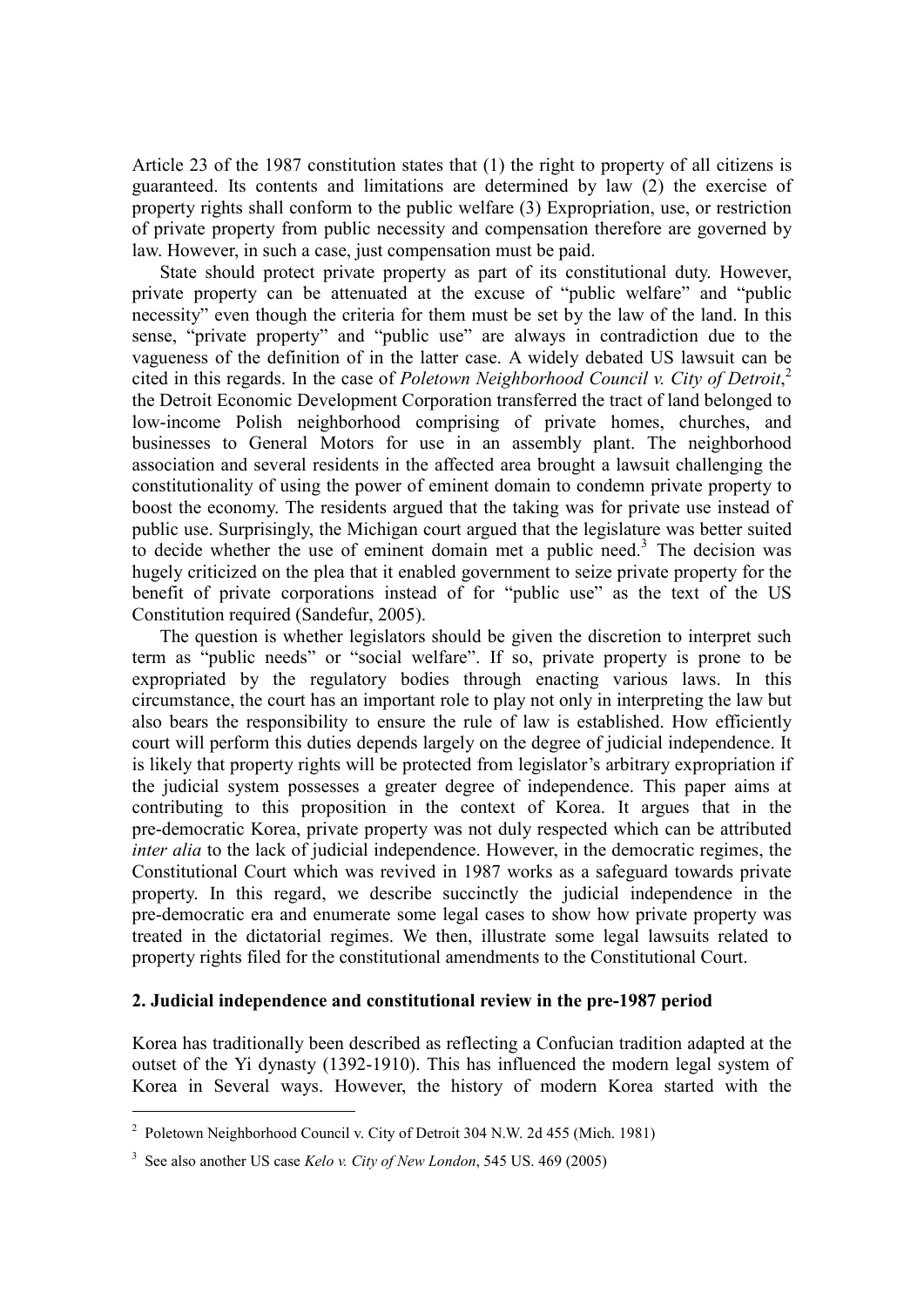Article 23 of the 1987 constitution states that (1) the right to property of all citizens is guaranteed. Its contents and limitations are determined by law (2) the exercise of property rights shall conform to the public welfare (3) Expropriation, use, or restriction of private property from public necessity and compensation therefore are governed by law. However, in such a case, just compensation must be paid.

 State should protect private property as part of its constitutional duty. However, private property can be attenuated at the excuse of "public welfare" and "public necessity" even though the criteria for them must be set by the law of the land. In this sense, "private property" and "public use" are always in contradiction due to the vagueness of the definition of in the latter case. A widely debated US lawsuit can be cited in this regards. In the case of *Poletown Neighborhood Council v. City of Detroit*,<sup>2</sup> the Detroit Economic Development Corporation transferred the tract of land belonged to low-income Polish neighborhood comprising of private homes, churches, and businesses to General Motors for use in an assembly plant. The neighborhood association and several residents in the affected area brought a lawsuit challenging the constitutionality of using the power of eminent domain to condemn private property to boost the economy. The residents argued that the taking was for private use instead of public use. Surprisingly, the Michigan court argued that the legislature was better suited to decide whether the use of eminent domain met a public need.<sup>3</sup> The decision was hugely criticized on the plea that it enabled government to seize private property for the benefit of private corporations instead of for "public use" as the text of the US Constitution required (Sandefur, 2005).

The question is whether legislators should be given the discretion to interpret such term as "public needs" or "social welfare". If so, private property is prone to be expropriated by the regulatory bodies through enacting various laws. In this circumstance, the court has an important role to play not only in interpreting the law but also bears the responsibility to ensure the rule of law is established. How efficiently court will perform this duties depends largely on the degree of judicial independence. It is likely that property rights will be protected from legislator's arbitrary expropriation if the judicial system possesses a greater degree of independence. This paper aims at contributing to this proposition in the context of Korea. It argues that in the pre-democratic Korea, private property was not duly respected which can be attributed *inter alia* to the lack of judicial independence. However, in the democratic regimes, the Constitutional Court which was revived in 1987 works as a safeguard towards private property. In this regard, we describe succinctly the judicial independence in the pre-democratic era and enumerate some legal cases to show how private property was treated in the dictatorial regimes. We then, illustrate some legal lawsuits related to property rights filed for the constitutional amendments to the Constitutional Court.

## **2. Judicial independence and constitutional review in the pre-1987 period**

Korea has traditionally been described as reflecting a Confucian tradition adapted at the outset of the Yi dynasty (1392-1910). This has influenced the modern legal system of Korea in Several ways. However, the history of modern Korea started with the

<sup>&</sup>lt;sup>2</sup> Poletown Neighborhood Council v. City of Detroit 304 N.W. 2d 455 (Mich. 1981)

<sup>&</sup>lt;sup>3</sup> See also another US case *Kelo v. City of New London*, 545 US. 469 (2005)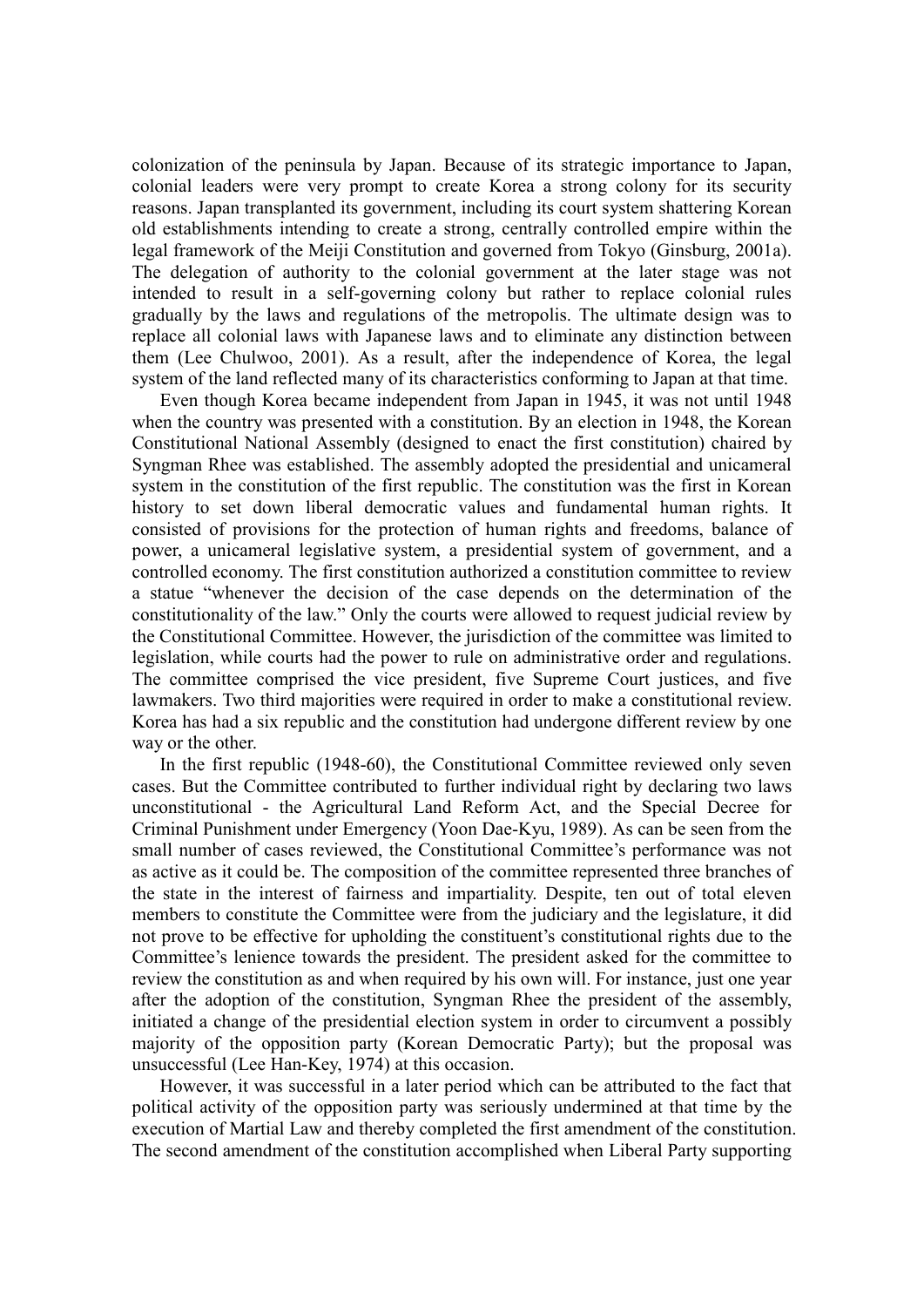colonization of the peninsula by Japan. Because of its strategic importance to Japan, colonial leaders were very prompt to create Korea a strong colony for its security reasons. Japan transplanted its government, including its court system shattering Korean old establishments intending to create a strong, centrally controlled empire within the legal framework of the Meiji Constitution and governed from Tokyo (Ginsburg, 2001a). The delegation of authority to the colonial government at the later stage was not intended to result in a self-governing colony but rather to replace colonial rules gradually by the laws and regulations of the metropolis. The ultimate design was to replace all colonial laws with Japanese laws and to eliminate any distinction between them (Lee Chulwoo, 2001). As a result, after the independence of Korea, the legal system of the land reflected many of its characteristics conforming to Japan at that time.

 Even though Korea became independent from Japan in 1945, it was not until 1948 when the country was presented with a constitution. By an election in 1948, the Korean Constitutional National Assembly (designed to enact the first constitution) chaired by Syngman Rhee was established. The assembly adopted the presidential and unicameral system in the constitution of the first republic. The constitution was the first in Korean history to set down liberal democratic values and fundamental human rights. It consisted of provisions for the protection of human rights and freedoms, balance of power, a unicameral legislative system, a presidential system of government, and a controlled economy. The first constitution authorized a constitution committee to review a statue "whenever the decision of the case depends on the determination of the constitutionality of the law." Only the courts were allowed to request judicial review by the Constitutional Committee. However, the jurisdiction of the committee was limited to legislation, while courts had the power to rule on administrative order and regulations. The committee comprised the vice president, five Supreme Court justices, and five lawmakers. Two third majorities were required in order to make a constitutional review. Korea has had a six republic and the constitution had undergone different review by one way or the other.

 In the first republic (1948-60), the Constitutional Committee reviewed only seven cases. But the Committee contributed to further individual right by declaring two laws unconstitutional - the Agricultural Land Reform Act, and the Special Decree for Criminal Punishment under Emergency (Yoon Dae-Kyu, 1989). As can be seen from the small number of cases reviewed, the Constitutional Committee's performance was not as active as it could be. The composition of the committee represented three branches of the state in the interest of fairness and impartiality. Despite, ten out of total eleven members to constitute the Committee were from the judiciary and the legislature, it did not prove to be effective for upholding the constituent's constitutional rights due to the Committee's lenience towards the president. The president asked for the committee to review the constitution as and when required by his own will. For instance, just one year after the adoption of the constitution, Syngman Rhee the president of the assembly, initiated a change of the presidential election system in order to circumvent a possibly majority of the opposition party (Korean Democratic Party); but the proposal was unsuccessful (Lee Han-Key, 1974) at this occasion.

 However, it was successful in a later period which can be attributed to the fact that political activity of the opposition party was seriously undermined at that time by the execution of Martial Law and thereby completed the first amendment of the constitution. The second amendment of the constitution accomplished when Liberal Party supporting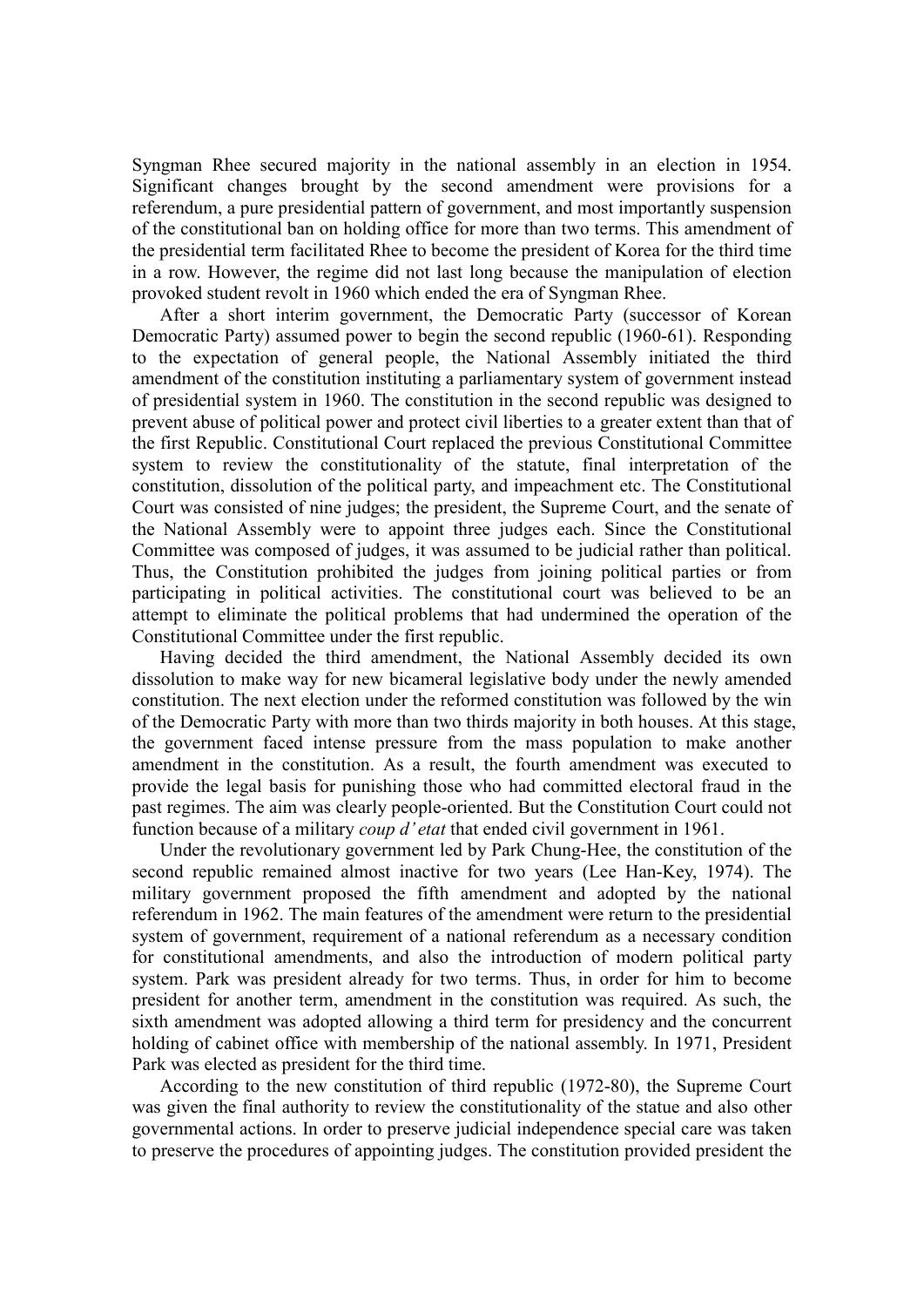Syngman Rhee secured majority in the national assembly in an election in 1954. Significant changes brought by the second amendment were provisions for a referendum, a pure presidential pattern of government, and most importantly suspension of the constitutional ban on holding office for more than two terms. This amendment of the presidential term facilitated Rhee to become the president of Korea for the third time in a row. However, the regime did not last long because the manipulation of election provoked student revolt in 1960 which ended the era of Syngman Rhee.

 After a short interim government, the Democratic Party (successor of Korean Democratic Party) assumed power to begin the second republic (1960-61). Responding to the expectation of general people, the National Assembly initiated the third amendment of the constitution instituting a parliamentary system of government instead of presidential system in 1960. The constitution in the second republic was designed to prevent abuse of political power and protect civil liberties to a greater extent than that of the first Republic. Constitutional Court replaced the previous Constitutional Committee system to review the constitutionality of the statute, final interpretation of the constitution, dissolution of the political party, and impeachment etc. The Constitutional Court was consisted of nine judges; the president, the Supreme Court, and the senate of the National Assembly were to appoint three judges each. Since the Constitutional Committee was composed of judges, it was assumed to be judicial rather than political. Thus, the Constitution prohibited the judges from joining political parties or from participating in political activities. The constitutional court was believed to be an attempt to eliminate the political problems that had undermined the operation of the Constitutional Committee under the first republic.

 Having decided the third amendment, the National Assembly decided its own dissolution to make way for new bicameral legislative body under the newly amended constitution. The next election under the reformed constitution was followed by the win of the Democratic Party with more than two thirds majority in both houses. At this stage, the government faced intense pressure from the mass population to make another amendment in the constitution. As a result, the fourth amendment was executed to provide the legal basis for punishing those who had committed electoral fraud in the past regimes. The aim was clearly people-oriented. But the Constitution Court could not function because of a military *coup d' etat* that ended civil government in 1961.

 Under the revolutionary government led by Park Chung-Hee, the constitution of the second republic remained almost inactive for two years (Lee Han-Key, 1974). The military government proposed the fifth amendment and adopted by the national referendum in 1962. The main features of the amendment were return to the presidential system of government, requirement of a national referendum as a necessary condition for constitutional amendments, and also the introduction of modern political party system. Park was president already for two terms. Thus, in order for him to become president for another term, amendment in the constitution was required. As such, the sixth amendment was adopted allowing a third term for presidency and the concurrent holding of cabinet office with membership of the national assembly. In 1971, President Park was elected as president for the third time.

 According to the new constitution of third republic (1972-80), the Supreme Court was given the final authority to review the constitutionality of the statue and also other governmental actions. In order to preserve judicial independence special care was taken to preserve the procedures of appointing judges. The constitution provided president the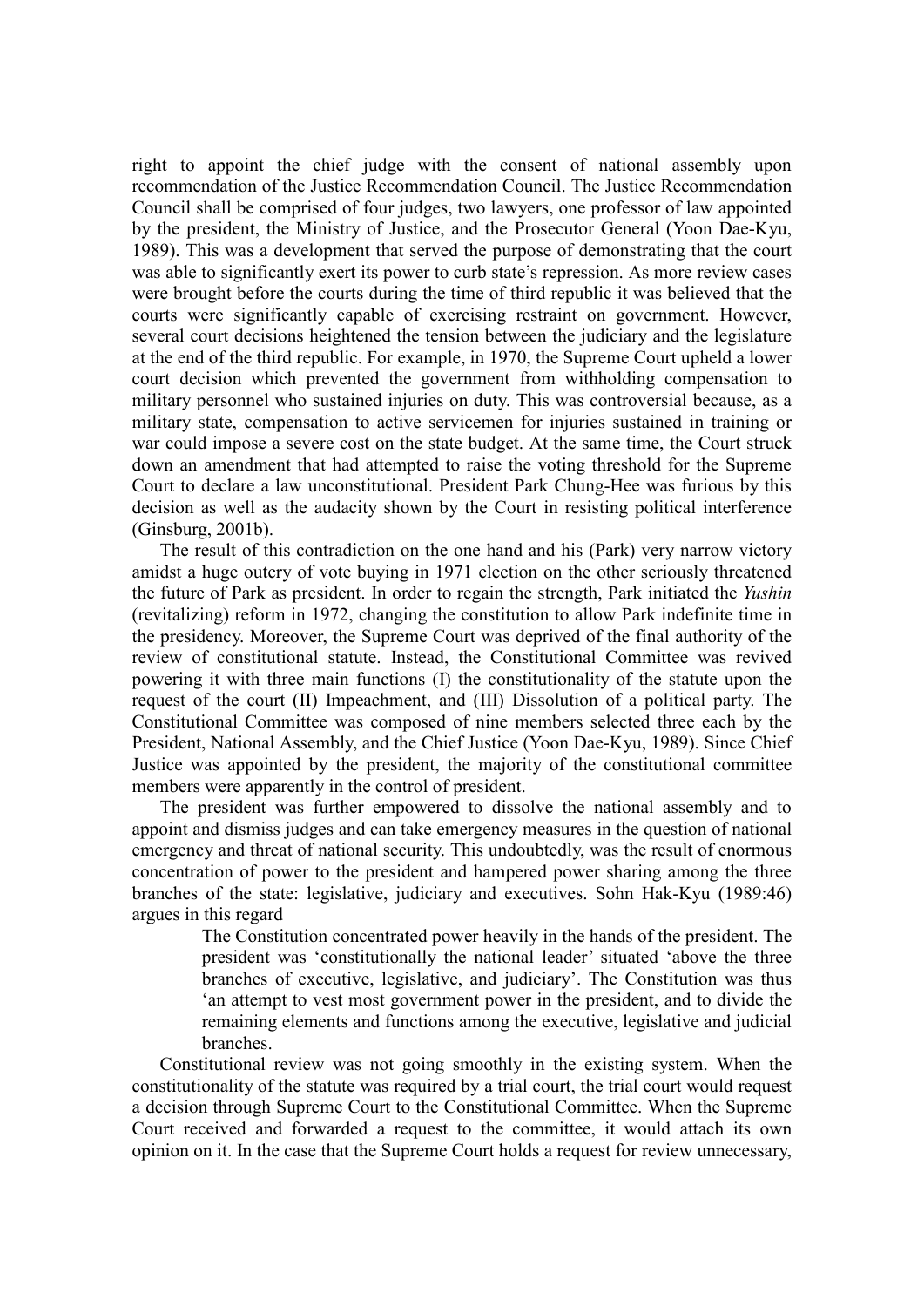right to appoint the chief judge with the consent of national assembly upon recommendation of the Justice Recommendation Council. The Justice Recommendation Council shall be comprised of four judges, two lawyers, one professor of law appointed by the president, the Ministry of Justice, and the Prosecutor General (Yoon Dae-Kyu, 1989). This was a development that served the purpose of demonstrating that the court was able to significantly exert its power to curb state's repression. As more review cases were brought before the courts during the time of third republic it was believed that the courts were significantly capable of exercising restraint on government. However, several court decisions heightened the tension between the judiciary and the legislature at the end of the third republic. For example, in 1970, the Supreme Court upheld a lower court decision which prevented the government from withholding compensation to military personnel who sustained injuries on duty. This was controversial because, as a military state, compensation to active servicemen for injuries sustained in training or war could impose a severe cost on the state budget. At the same time, the Court struck down an amendment that had attempted to raise the voting threshold for the Supreme Court to declare a law unconstitutional. President Park Chung-Hee was furious by this decision as well as the audacity shown by the Court in resisting political interference (Ginsburg, 2001b).

 The result of this contradiction on the one hand and his (Park) very narrow victory amidst a huge outcry of vote buying in 1971 election on the other seriously threatened the future of Park as president. In order to regain the strength, Park initiated the *Yushin*  (revitalizing) reform in 1972, changing the constitution to allow Park indefinite time in the presidency. Moreover, the Supreme Court was deprived of the final authority of the review of constitutional statute. Instead, the Constitutional Committee was revived powering it with three main functions (I) the constitutionality of the statute upon the request of the court (II) Impeachment, and (III) Dissolution of a political party. The Constitutional Committee was composed of nine members selected three each by the President, National Assembly, and the Chief Justice (Yoon Dae-Kyu, 1989). Since Chief Justice was appointed by the president, the majority of the constitutional committee members were apparently in the control of president.

 The president was further empowered to dissolve the national assembly and to appoint and dismiss judges and can take emergency measures in the question of national emergency and threat of national security. This undoubtedly, was the result of enormous concentration of power to the president and hampered power sharing among the three branches of the state: legislative, judiciary and executives. Sohn Hak-Kyu (1989:46) argues in this regard

> The Constitution concentrated power heavily in the hands of the president. The president was 'constitutionally the national leader' situated 'above the three branches of executive, legislative, and judiciary'. The Constitution was thus 'an attempt to vest most government power in the president, and to divide the remaining elements and functions among the executive, legislative and judicial branches.

 Constitutional review was not going smoothly in the existing system. When the constitutionality of the statute was required by a trial court, the trial court would request a decision through Supreme Court to the Constitutional Committee. When the Supreme Court received and forwarded a request to the committee, it would attach its own opinion on it. In the case that the Supreme Court holds a request for review unnecessary,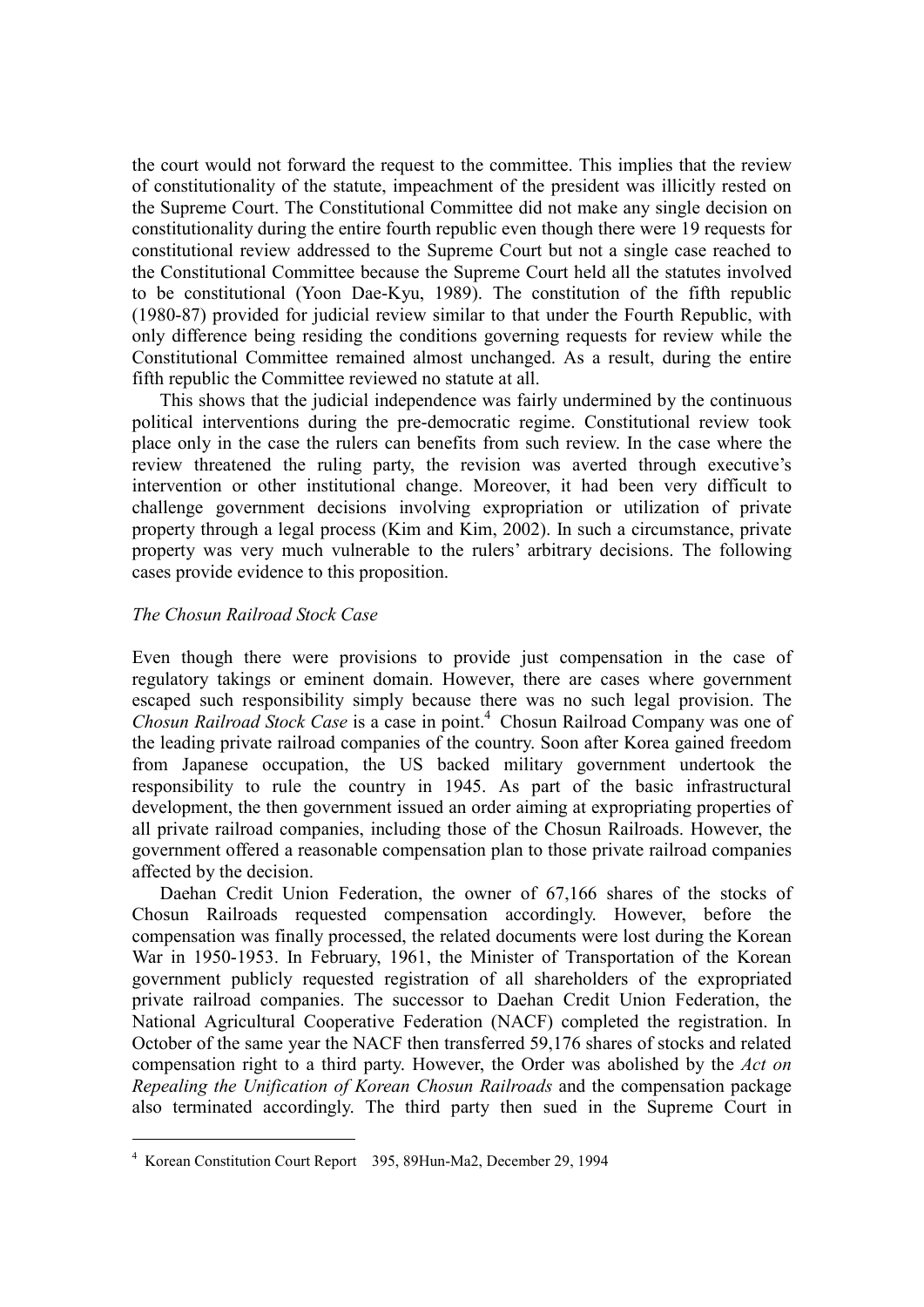the court would not forward the request to the committee. This implies that the review of constitutionality of the statute, impeachment of the president was illicitly rested on the Supreme Court. The Constitutional Committee did not make any single decision on constitutionality during the entire fourth republic even though there were 19 requests for constitutional review addressed to the Supreme Court but not a single case reached to the Constitutional Committee because the Supreme Court held all the statutes involved to be constitutional (Yoon Dae-Kyu, 1989). The constitution of the fifth republic (1980-87) provided for judicial review similar to that under the Fourth Republic, with only difference being residing the conditions governing requests for review while the Constitutional Committee remained almost unchanged. As a result, during the entire fifth republic the Committee reviewed no statute at all.

 This shows that the judicial independence was fairly undermined by the continuous political interventions during the pre-democratic regime. Constitutional review took place only in the case the rulers can benefits from such review. In the case where the review threatened the ruling party, the revision was averted through executive's intervention or other institutional change. Moreover, it had been very difficult to challenge government decisions involving expropriation or utilization of private property through a legal process (Kim and Kim, 2002). In such a circumstance, private property was very much vulnerable to the rulers' arbitrary decisions. The following cases provide evidence to this proposition.

## *The Chosun Railroad Stock Case*

 $\overline{a}$ 

Even though there were provisions to provide just compensation in the case of regulatory takings or eminent domain. However, there are cases where government escaped such responsibility simply because there was no such legal provision. The *Chosun Railroad Stock Case* is a case in point.<sup>4</sup> Chosun Railroad Company was one of the leading private railroad companies of the country. Soon after Korea gained freedom from Japanese occupation, the US backed military government undertook the responsibility to rule the country in 1945. As part of the basic infrastructural development, the then government issued an order aiming at expropriating properties of all private railroad companies, including those of the Chosun Railroads. However, the government offered a reasonable compensation plan to those private railroad companies affected by the decision.

 Daehan Credit Union Federation, the owner of 67,166 shares of the stocks of Chosun Railroads requested compensation accordingly. However, before the compensation was finally processed, the related documents were lost during the Korean War in 1950-1953. In February, 1961, the Minister of Transportation of the Korean government publicly requested registration of all shareholders of the expropriated private railroad companies. The successor to Daehan Credit Union Federation, the National Agricultural Cooperative Federation (NACF) completed the registration. In October of the same year the NACF then transferred 59,176 shares of stocks and related compensation right to a third party. However, the Order was abolished by the *Act on Repealing the Unification of Korean Chosun Railroads* and the compensation package also terminated accordingly. The third party then sued in the Supreme Court in

<sup>4</sup> Korean Constitution Court Report 395, 89Hun-Ma2, December 29, 1994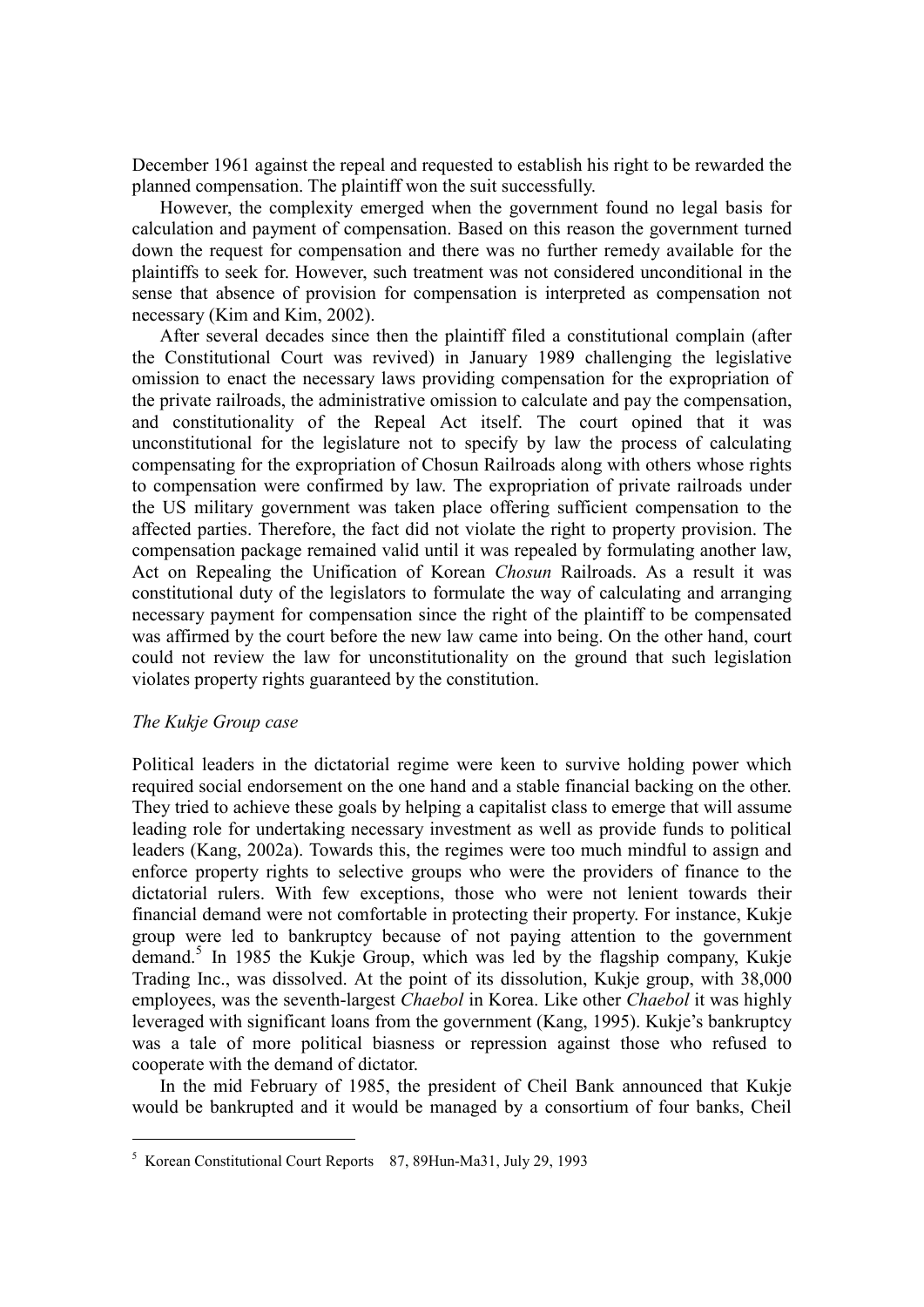December 1961 against the repeal and requested to establish his right to be rewarded the planned compensation. The plaintiff won the suit successfully.

 However, the complexity emerged when the government found no legal basis for calculation and payment of compensation. Based on this reason the government turned down the request for compensation and there was no further remedy available for the plaintiffs to seek for. However, such treatment was not considered unconditional in the sense that absence of provision for compensation is interpreted as compensation not necessary (Kim and Kim, 2002).

 After several decades since then the plaintiff filed a constitutional complain (after the Constitutional Court was revived) in January 1989 challenging the legislative omission to enact the necessary laws providing compensation for the expropriation of the private railroads, the administrative omission to calculate and pay the compensation, and constitutionality of the Repeal Act itself. The court opined that it was unconstitutional for the legislature not to specify by law the process of calculating compensating for the expropriation of Chosun Railroads along with others whose rights to compensation were confirmed by law. The expropriation of private railroads under the US military government was taken place offering sufficient compensation to the affected parties. Therefore, the fact did not violate the right to property provision. The compensation package remained valid until it was repealed by formulating another law, Act on Repealing the Unification of Korean *Chosun* Railroads. As a result it was constitutional duty of the legislators to formulate the way of calculating and arranging necessary payment for compensation since the right of the plaintiff to be compensated was affirmed by the court before the new law came into being. On the other hand, court could not review the law for unconstitutionality on the ground that such legislation violates property rights guaranteed by the constitution.

## *The Kukje Group case*

 $\overline{a}$ 

Political leaders in the dictatorial regime were keen to survive holding power which required social endorsement on the one hand and a stable financial backing on the other. They tried to achieve these goals by helping a capitalist class to emerge that will assume leading role for undertaking necessary investment as well as provide funds to political leaders (Kang, 2002a). Towards this, the regimes were too much mindful to assign and enforce property rights to selective groups who were the providers of finance to the dictatorial rulers. With few exceptions, those who were not lenient towards their financial demand were not comfortable in protecting their property. For instance, Kukje group were led to bankruptcy because of not paying attention to the government demand.<sup>5</sup> In 1985 the Kukje Group, which was led by the flagship company, Kukje Trading Inc., was dissolved. At the point of its dissolution, Kukje group, with 38,000 employees, was the seventh-largest *Chaebol* in Korea. Like other *Chaebol* it was highly leveraged with significant loans from the government (Kang, 1995). Kukje's bankruptcy was a tale of more political biasness or repression against those who refused to cooperate with the demand of dictator.

 In the mid February of 1985, the president of Cheil Bank announced that Kukje would be bankrupted and it would be managed by a consortium of four banks, Cheil

<sup>5</sup> Korean Constitutional Court Reports 87, 89Hun-Ma31, July 29, 1993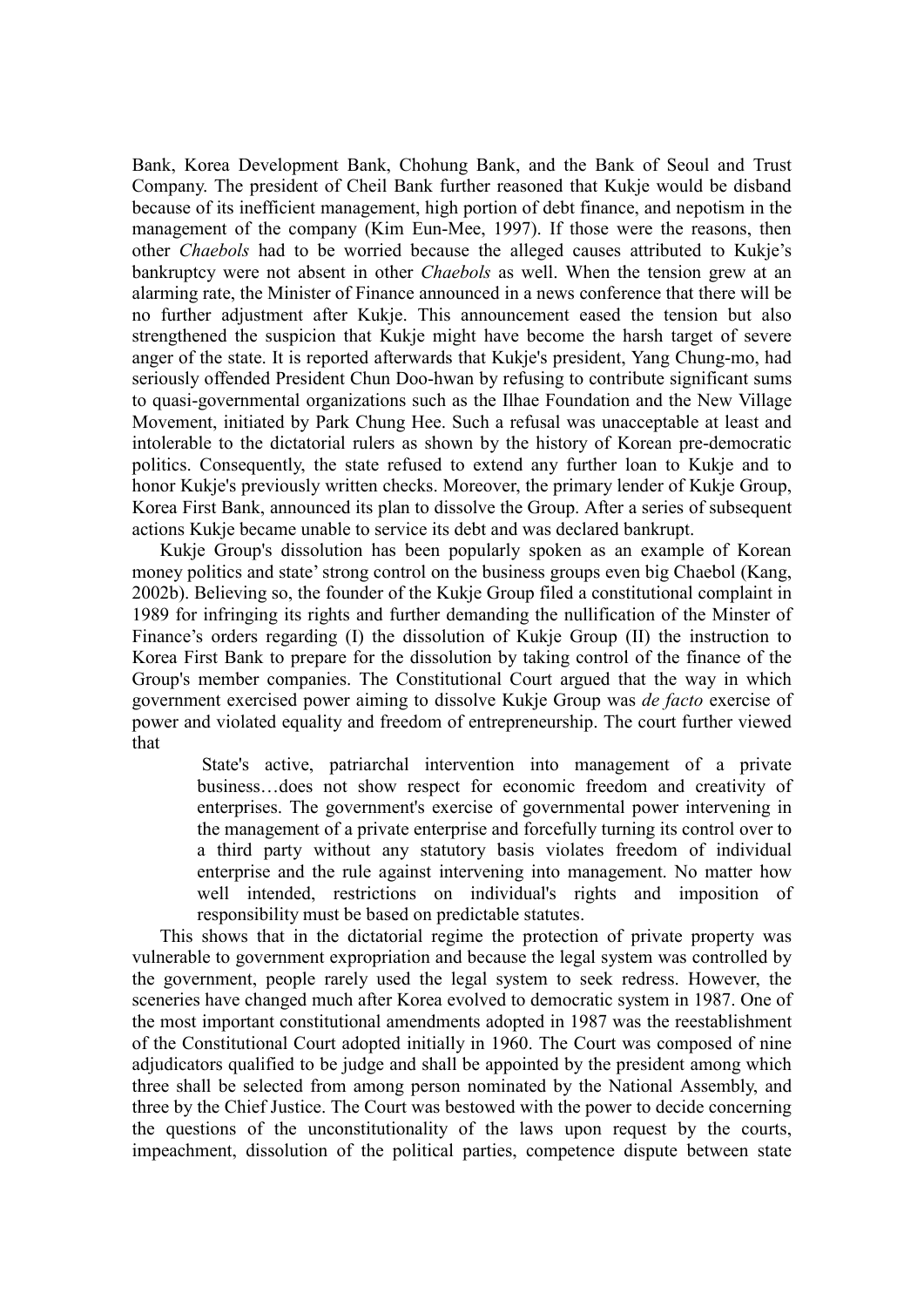Bank, Korea Development Bank, Chohung Bank, and the Bank of Seoul and Trust Company. The president of Cheil Bank further reasoned that Kukje would be disband because of its inefficient management, high portion of debt finance, and nepotism in the management of the company (Kim Eun-Mee, 1997). If those were the reasons, then other *Chaebols* had to be worried because the alleged causes attributed to Kukje's bankruptcy were not absent in other *Chaebols* as well. When the tension grew at an alarming rate, the Minister of Finance announced in a news conference that there will be no further adjustment after Kukje. This announcement eased the tension but also strengthened the suspicion that Kukje might have become the harsh target of severe anger of the state. It is reported afterwards that Kukje's president, Yang Chung-mo, had seriously offended President Chun Doo-hwan by refusing to contribute significant sums to quasi-governmental organizations such as the Ilhae Foundation and the New Village Movement, initiated by Park Chung Hee. Such a refusal was unacceptable at least and intolerable to the dictatorial rulers as shown by the history of Korean pre-democratic politics. Consequently, the state refused to extend any further loan to Kukje and to honor Kukje's previously written checks. Moreover, the primary lender of Kukje Group, Korea First Bank, announced its plan to dissolve the Group. After a series of subsequent actions Kukje became unable to service its debt and was declared bankrupt.

 Kukje Group's dissolution has been popularly spoken as an example of Korean money politics and state' strong control on the business groups even big Chaebol (Kang, 2002b). Believing so, the founder of the Kukje Group filed a constitutional complaint in 1989 for infringing its rights and further demanding the nullification of the Minster of Finance's orders regarding (I) the dissolution of Kukje Group (II) the instruction to Korea First Bank to prepare for the dissolution by taking control of the finance of the Group's member companies. The Constitutional Court argued that the way in which government exercised power aiming to dissolve Kukje Group was *de facto* exercise of power and violated equality and freedom of entrepreneurship. The court further viewed that

 State's active, patriarchal intervention into management of a private business…does not show respect for economic freedom and creativity of enterprises. The government's exercise of governmental power intervening in the management of a private enterprise and forcefully turning its control over to a third party without any statutory basis violates freedom of individual enterprise and the rule against intervening into management. No matter how well intended, restrictions on individual's rights and imposition of responsibility must be based on predictable statutes.

 This shows that in the dictatorial regime the protection of private property was vulnerable to government expropriation and because the legal system was controlled by the government, people rarely used the legal system to seek redress. However, the sceneries have changed much after Korea evolved to democratic system in 1987. One of the most important constitutional amendments adopted in 1987 was the reestablishment of the Constitutional Court adopted initially in 1960. The Court was composed of nine adjudicators qualified to be judge and shall be appointed by the president among which three shall be selected from among person nominated by the National Assembly, and three by the Chief Justice. The Court was bestowed with the power to decide concerning the questions of the unconstitutionality of the laws upon request by the courts, impeachment, dissolution of the political parties, competence dispute between state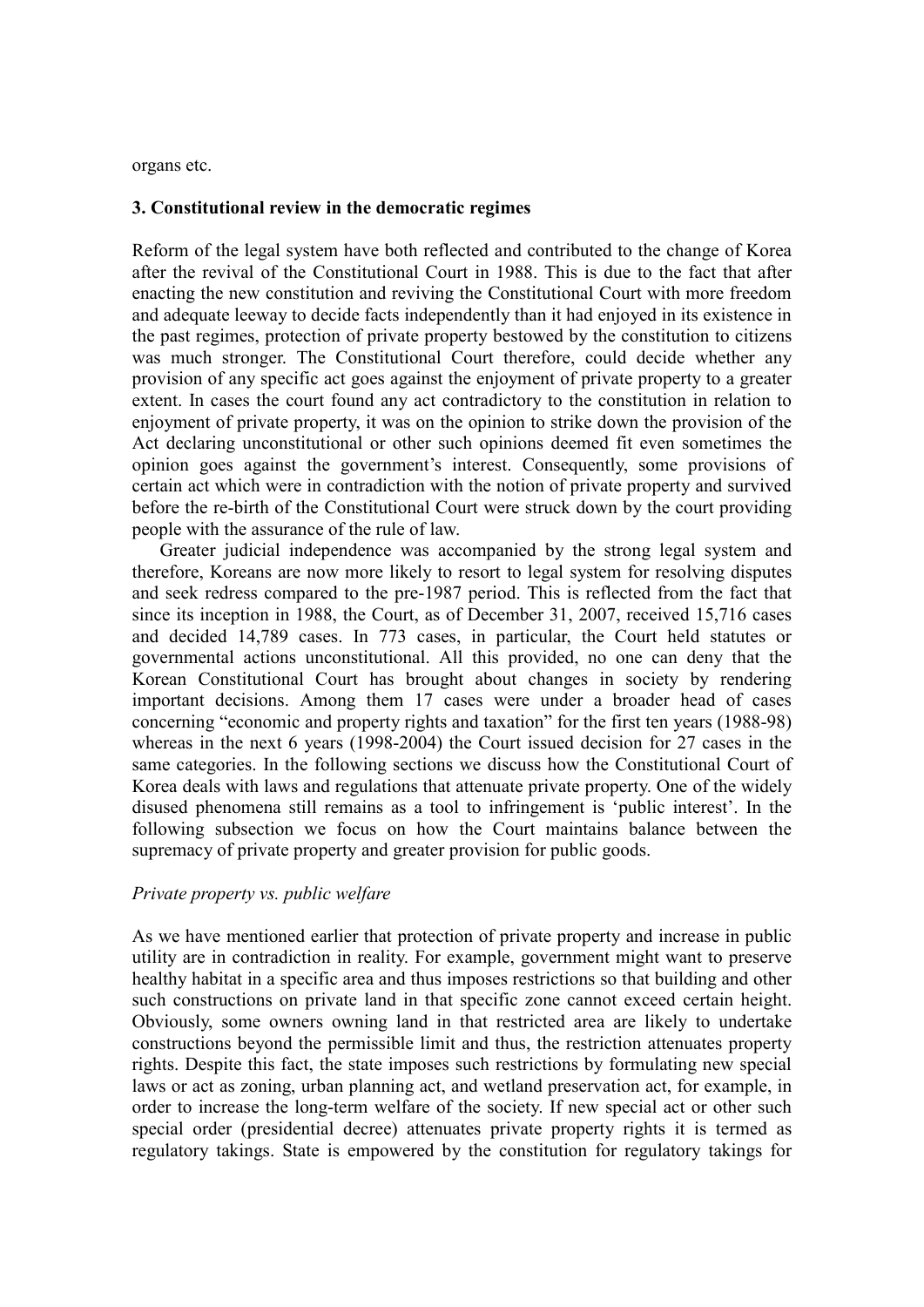organs etc.

### **3. Constitutional review in the democratic regimes**

Reform of the legal system have both reflected and contributed to the change of Korea after the revival of the Constitutional Court in 1988. This is due to the fact that after enacting the new constitution and reviving the Constitutional Court with more freedom and adequate leeway to decide facts independently than it had enjoyed in its existence in the past regimes, protection of private property bestowed by the constitution to citizens was much stronger. The Constitutional Court therefore, could decide whether any provision of any specific act goes against the enjoyment of private property to a greater extent. In cases the court found any act contradictory to the constitution in relation to enjoyment of private property, it was on the opinion to strike down the provision of the Act declaring unconstitutional or other such opinions deemed fit even sometimes the opinion goes against the government's interest. Consequently, some provisions of certain act which were in contradiction with the notion of private property and survived before the re-birth of the Constitutional Court were struck down by the court providing people with the assurance of the rule of law.

 Greater judicial independence was accompanied by the strong legal system and therefore, Koreans are now more likely to resort to legal system for resolving disputes and seek redress compared to the pre-1987 period. This is reflected from the fact that since its inception in 1988, the Court, as of December 31, 2007, received 15,716 cases and decided 14,789 cases. In 773 cases, in particular, the Court held statutes or governmental actions unconstitutional. All this provided, no one can deny that the Korean Constitutional Court has brought about changes in society by rendering important decisions. Among them 17 cases were under a broader head of cases concerning "economic and property rights and taxation" for the first ten years (1988-98) whereas in the next 6 years (1998-2004) the Court issued decision for 27 cases in the same categories. In the following sections we discuss how the Constitutional Court of Korea deals with laws and regulations that attenuate private property. One of the widely disused phenomena still remains as a tool to infringement is 'public interest'. In the following subsection we focus on how the Court maintains balance between the supremacy of private property and greater provision for public goods.

## *Private property vs. public welfare*

As we have mentioned earlier that protection of private property and increase in public utility are in contradiction in reality. For example, government might want to preserve healthy habitat in a specific area and thus imposes restrictions so that building and other such constructions on private land in that specific zone cannot exceed certain height. Obviously, some owners owning land in that restricted area are likely to undertake constructions beyond the permissible limit and thus, the restriction attenuates property rights. Despite this fact, the state imposes such restrictions by formulating new special laws or act as zoning, urban planning act, and wetland preservation act, for example, in order to increase the long-term welfare of the society. If new special act or other such special order (presidential decree) attenuates private property rights it is termed as regulatory takings. State is empowered by the constitution for regulatory takings for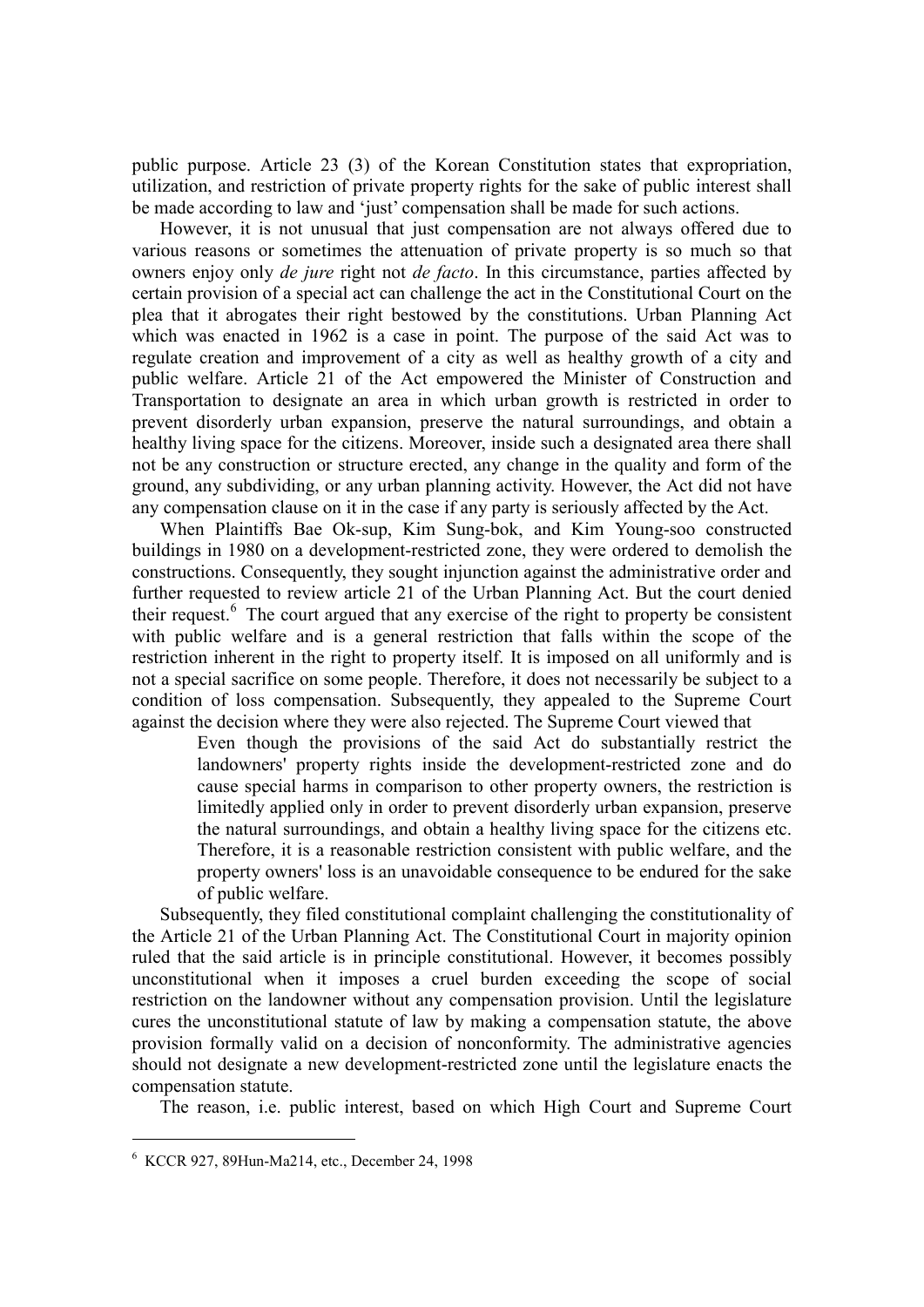public purpose. Article 23 (3) of the Korean Constitution states that expropriation, utilization, and restriction of private property rights for the sake of public interest shall be made according to law and 'just' compensation shall be made for such actions.

 However, it is not unusual that just compensation are not always offered due to various reasons or sometimes the attenuation of private property is so much so that owners enjoy only *de jure* right not *de facto*. In this circumstance, parties affected by certain provision of a special act can challenge the act in the Constitutional Court on the plea that it abrogates their right bestowed by the constitutions. Urban Planning Act which was enacted in 1962 is a case in point. The purpose of the said Act was to regulate creation and improvement of a city as well as healthy growth of a city and public welfare. Article 21 of the Act empowered the Minister of Construction and Transportation to designate an area in which urban growth is restricted in order to prevent disorderly urban expansion, preserve the natural surroundings, and obtain a healthy living space for the citizens. Moreover, inside such a designated area there shall not be any construction or structure erected, any change in the quality and form of the ground, any subdividing, or any urban planning activity. However, the Act did not have any compensation clause on it in the case if any party is seriously affected by the Act.

 When Plaintiffs Bae Ok-sup, Kim Sung-bok, and Kim Young-soo constructed buildings in 1980 on a development-restricted zone, they were ordered to demolish the constructions. Consequently, they sought injunction against the administrative order and further requested to review article 21 of the Urban Planning Act. But the court denied their request.<sup>6</sup> The court argued that any exercise of the right to property be consistent with public welfare and is a general restriction that falls within the scope of the restriction inherent in the right to property itself. It is imposed on all uniformly and is not a special sacrifice on some people. Therefore, it does not necessarily be subject to a condition of loss compensation. Subsequently, they appealed to the Supreme Court against the decision where they were also rejected. The Supreme Court viewed that

Even though the provisions of the said Act do substantially restrict the landowners' property rights inside the development-restricted zone and do cause special harms in comparison to other property owners, the restriction is limitedly applied only in order to prevent disorderly urban expansion, preserve the natural surroundings, and obtain a healthy living space for the citizens etc. Therefore, it is a reasonable restriction consistent with public welfare, and the property owners' loss is an unavoidable consequence to be endured for the sake of public welfare.

 Subsequently, they filed constitutional complaint challenging the constitutionality of the Article 21 of the Urban Planning Act. The Constitutional Court in majority opinion ruled that the said article is in principle constitutional. However, it becomes possibly unconstitutional when it imposes a cruel burden exceeding the scope of social restriction on the landowner without any compensation provision. Until the legislature cures the unconstitutional statute of law by making a compensation statute, the above provision formally valid on a decision of nonconformity. The administrative agencies should not designate a new development-restricted zone until the legislature enacts the compensation statute.

The reason, i.e. public interest, based on which High Court and Supreme Court

 $\overline{a}$ 

<sup>6</sup> KCCR 927, 89Hun-Ma214, etc., December 24, 1998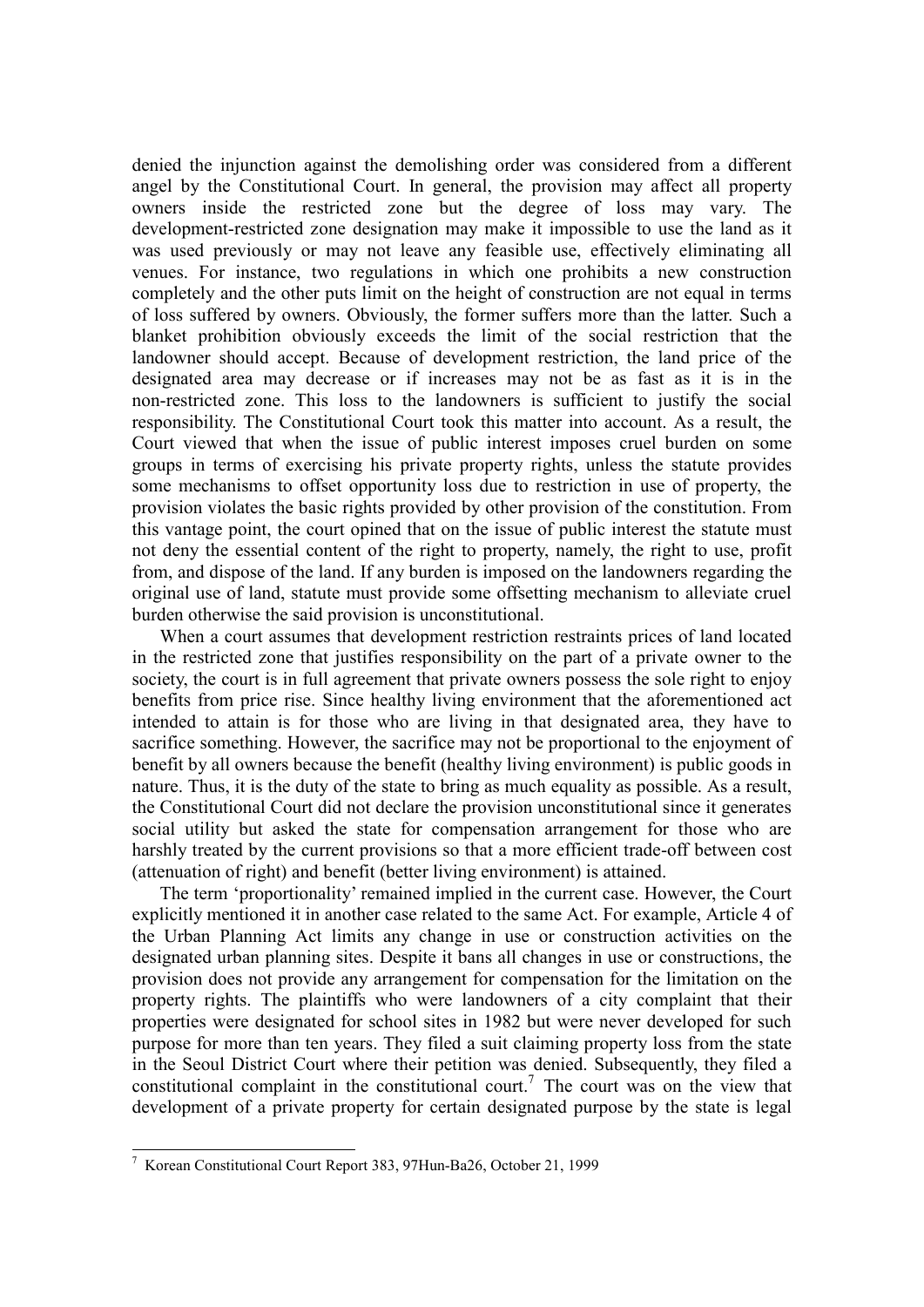denied the injunction against the demolishing order was considered from a different angel by the Constitutional Court. In general, the provision may affect all property owners inside the restricted zone but the degree of loss may vary. The development-restricted zone designation may make it impossible to use the land as it was used previously or may not leave any feasible use, effectively eliminating all venues. For instance, two regulations in which one prohibits a new construction completely and the other puts limit on the height of construction are not equal in terms of loss suffered by owners. Obviously, the former suffers more than the latter. Such a blanket prohibition obviously exceeds the limit of the social restriction that the landowner should accept. Because of development restriction, the land price of the designated area may decrease or if increases may not be as fast as it is in the non-restricted zone. This loss to the landowners is sufficient to justify the social responsibility. The Constitutional Court took this matter into account. As a result, the Court viewed that when the issue of public interest imposes cruel burden on some groups in terms of exercising his private property rights, unless the statute provides some mechanisms to offset opportunity loss due to restriction in use of property, the provision violates the basic rights provided by other provision of the constitution. From this vantage point, the court opined that on the issue of public interest the statute must not deny the essential content of the right to property, namely, the right to use, profit from, and dispose of the land. If any burden is imposed on the landowners regarding the original use of land, statute must provide some offsetting mechanism to alleviate cruel burden otherwise the said provision is unconstitutional.

 When a court assumes that development restriction restraints prices of land located in the restricted zone that justifies responsibility on the part of a private owner to the society, the court is in full agreement that private owners possess the sole right to enjoy benefits from price rise. Since healthy living environment that the aforementioned act intended to attain is for those who are living in that designated area, they have to sacrifice something. However, the sacrifice may not be proportional to the enjoyment of benefit by all owners because the benefit (healthy living environment) is public goods in nature. Thus, it is the duty of the state to bring as much equality as possible. As a result, the Constitutional Court did not declare the provision unconstitutional since it generates social utility but asked the state for compensation arrangement for those who are harshly treated by the current provisions so that a more efficient trade-off between cost (attenuation of right) and benefit (better living environment) is attained.

 The term 'proportionality' remained implied in the current case. However, the Court explicitly mentioned it in another case related to the same Act. For example, Article 4 of the Urban Planning Act limits any change in use or construction activities on the designated urban planning sites. Despite it bans all changes in use or constructions, the provision does not provide any arrangement for compensation for the limitation on the property rights. The plaintiffs who were landowners of a city complaint that their properties were designated for school sites in 1982 but were never developed for such purpose for more than ten years. They filed a suit claiming property loss from the state in the Seoul District Court where their petition was denied. Subsequently, they filed a constitutional complaint in the constitutional court.<sup>7</sup> The court was on the view that development of a private property for certain designated purpose by the state is legal

<sup>7</sup> Korean Constitutional Court Report 383, 97Hun-Ba26, October 21, 1999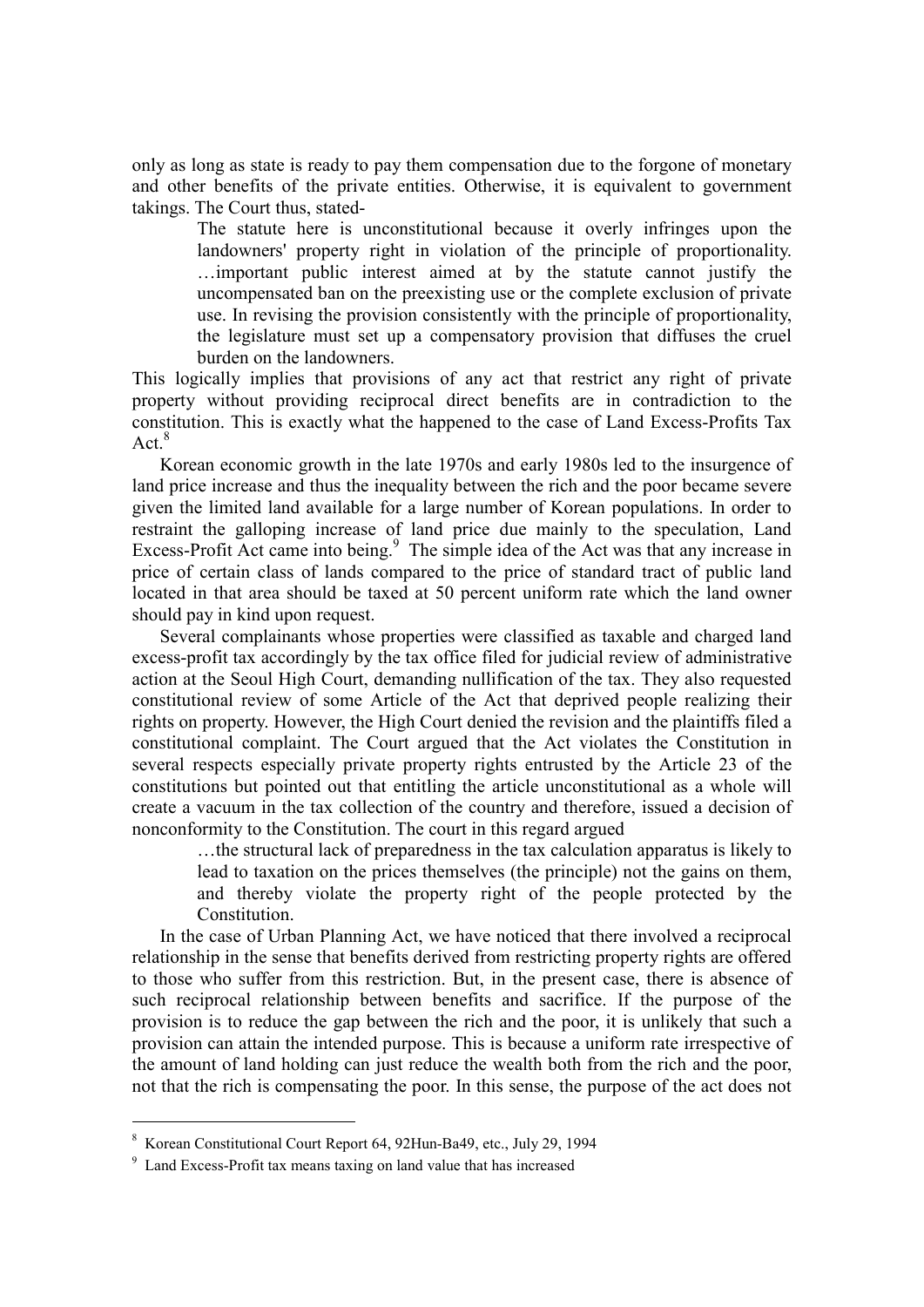only as long as state is ready to pay them compensation due to the forgone of monetary and other benefits of the private entities. Otherwise, it is equivalent to government takings. The Court thus, stated-

The statute here is unconstitutional because it overly infringes upon the landowners' property right in violation of the principle of proportionality. …important public interest aimed at by the statute cannot justify the uncompensated ban on the preexisting use or the complete exclusion of private use. In revising the provision consistently with the principle of proportionality, the legislature must set up a compensatory provision that diffuses the cruel burden on the landowners.

This logically implies that provisions of any act that restrict any right of private property without providing reciprocal direct benefits are in contradiction to the constitution. This is exactly what the happened to the case of Land Excess-Profits Tax  $Act.<sup>8</sup>$ 

 Korean economic growth in the late 1970s and early 1980s led to the insurgence of land price increase and thus the inequality between the rich and the poor became severe given the limited land available for a large number of Korean populations. In order to restraint the galloping increase of land price due mainly to the speculation, Land Excess-Profit Act came into being.<sup>9</sup> The simple idea of the Act was that any increase in price of certain class of lands compared to the price of standard tract of public land located in that area should be taxed at 50 percent uniform rate which the land owner should pay in kind upon request.

 Several complainants whose properties were classified as taxable and charged land excess-profit tax accordingly by the tax office filed for judicial review of administrative action at the Seoul High Court, demanding nullification of the tax. They also requested constitutional review of some Article of the Act that deprived people realizing their rights on property. However, the High Court denied the revision and the plaintiffs filed a constitutional complaint. The Court argued that the Act violates the Constitution in several respects especially private property rights entrusted by the Article 23 of the constitutions but pointed out that entitling the article unconstitutional as a whole will create a vacuum in the tax collection of the country and therefore, issued a decision of nonconformity to the Constitution. The court in this regard argued

…the structural lack of preparedness in the tax calculation apparatus is likely to lead to taxation on the prices themselves (the principle) not the gains on them, and thereby violate the property right of the people protected by the Constitution.

 In the case of Urban Planning Act, we have noticed that there involved a reciprocal relationship in the sense that benefits derived from restricting property rights are offered to those who suffer from this restriction. But, in the present case, there is absence of such reciprocal relationship between benefits and sacrifice. If the purpose of the provision is to reduce the gap between the rich and the poor, it is unlikely that such a provision can attain the intended purpose. This is because a uniform rate irrespective of the amount of land holding can just reduce the wealth both from the rich and the poor, not that the rich is compensating the poor. In this sense, the purpose of the act does not

<sup>8</sup> Korean Constitutional Court Report 64, 92Hun-Ba49, etc., July 29, 1994

<sup>9</sup> Land Excess-Profit tax means taxing on land value that has increased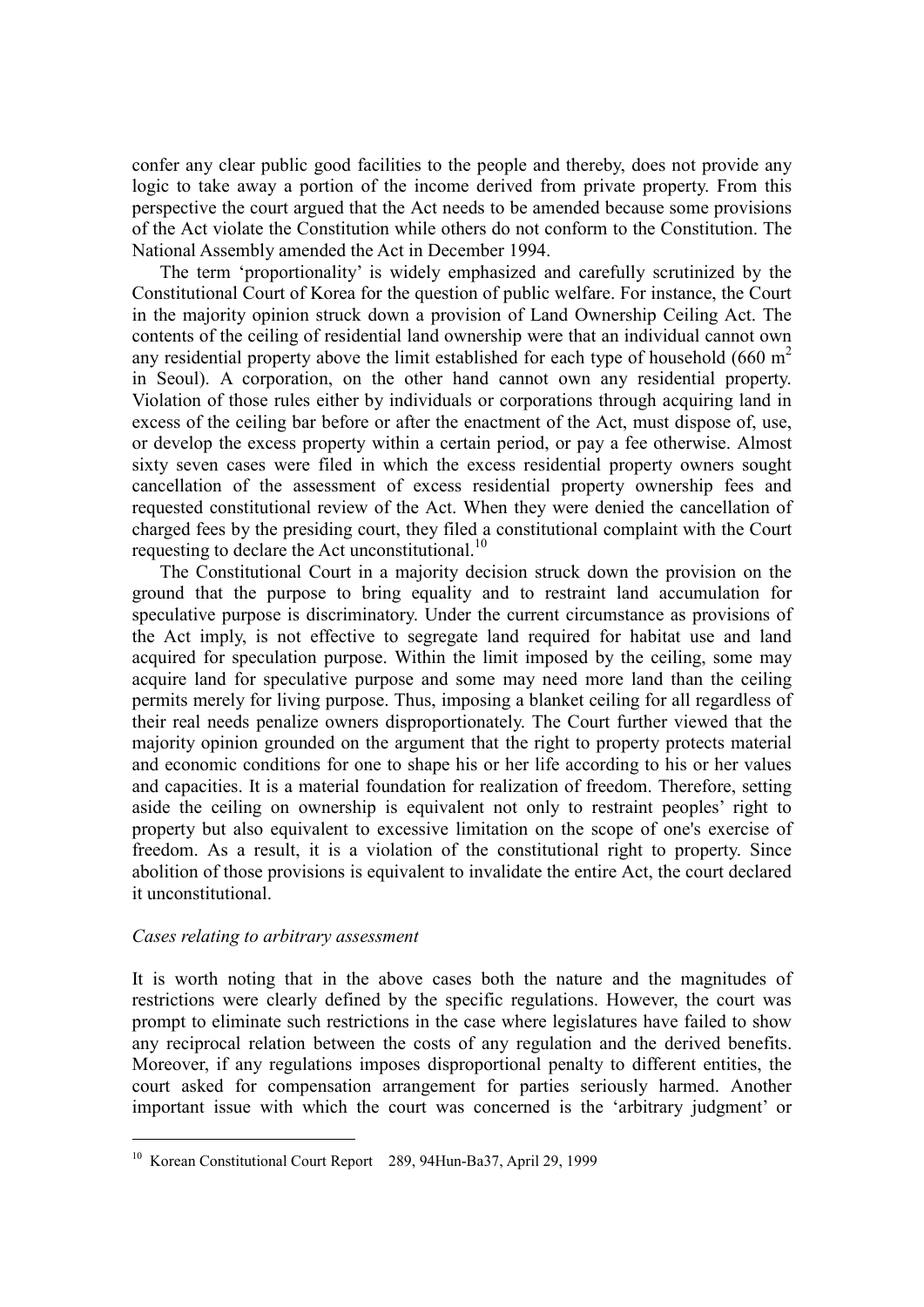confer any clear public good facilities to the people and thereby, does not provide any logic to take away a portion of the income derived from private property. From this perspective the court argued that the Act needs to be amended because some provisions of the Act violate the Constitution while others do not conform to the Constitution. The National Assembly amended the Act in December 1994.

 The term 'proportionality' is widely emphasized and carefully scrutinized by the Constitutional Court of Korea for the question of public welfare. For instance, the Court in the majority opinion struck down a provision of Land Ownership Ceiling Act. The contents of the ceiling of residential land ownership were that an individual cannot own any residential property above the limit established for each type of household  $(660 \text{ m}^2)$ in Seoul). A corporation, on the other hand cannot own any residential property. Violation of those rules either by individuals or corporations through acquiring land in excess of the ceiling bar before or after the enactment of the Act, must dispose of, use, or develop the excess property within a certain period, or pay a fee otherwise. Almost sixty seven cases were filed in which the excess residential property owners sought cancellation of the assessment of excess residential property ownership fees and requested constitutional review of the Act. When they were denied the cancellation of charged fees by the presiding court, they filed a constitutional complaint with the Court requesting to declare the Act unconstitutional.<sup>10</sup>

 The Constitutional Court in a majority decision struck down the provision on the ground that the purpose to bring equality and to restraint land accumulation for speculative purpose is discriminatory. Under the current circumstance as provisions of the Act imply, is not effective to segregate land required for habitat use and land acquired for speculation purpose. Within the limit imposed by the ceiling, some may acquire land for speculative purpose and some may need more land than the ceiling permits merely for living purpose. Thus, imposing a blanket ceiling for all regardless of their real needs penalize owners disproportionately. The Court further viewed that the majority opinion grounded on the argument that the right to property protects material and economic conditions for one to shape his or her life according to his or her values and capacities. It is a material foundation for realization of freedom. Therefore, setting aside the ceiling on ownership is equivalent not only to restraint peoples' right to property but also equivalent to excessive limitation on the scope of one's exercise of freedom. As a result, it is a violation of the constitutional right to property. Since abolition of those provisions is equivalent to invalidate the entire Act, the court declared it unconstitutional.

#### *Cases relating to arbitrary assessment*

 $\overline{a}$ 

It is worth noting that in the above cases both the nature and the magnitudes of restrictions were clearly defined by the specific regulations. However, the court was prompt to eliminate such restrictions in the case where legislatures have failed to show any reciprocal relation between the costs of any regulation and the derived benefits. Moreover, if any regulations imposes disproportional penalty to different entities, the court asked for compensation arrangement for parties seriously harmed. Another important issue with which the court was concerned is the 'arbitrary judgment' or

<sup>10</sup> Korean Constitutional Court Report 289, 94Hun-Ba37, April 29, 1999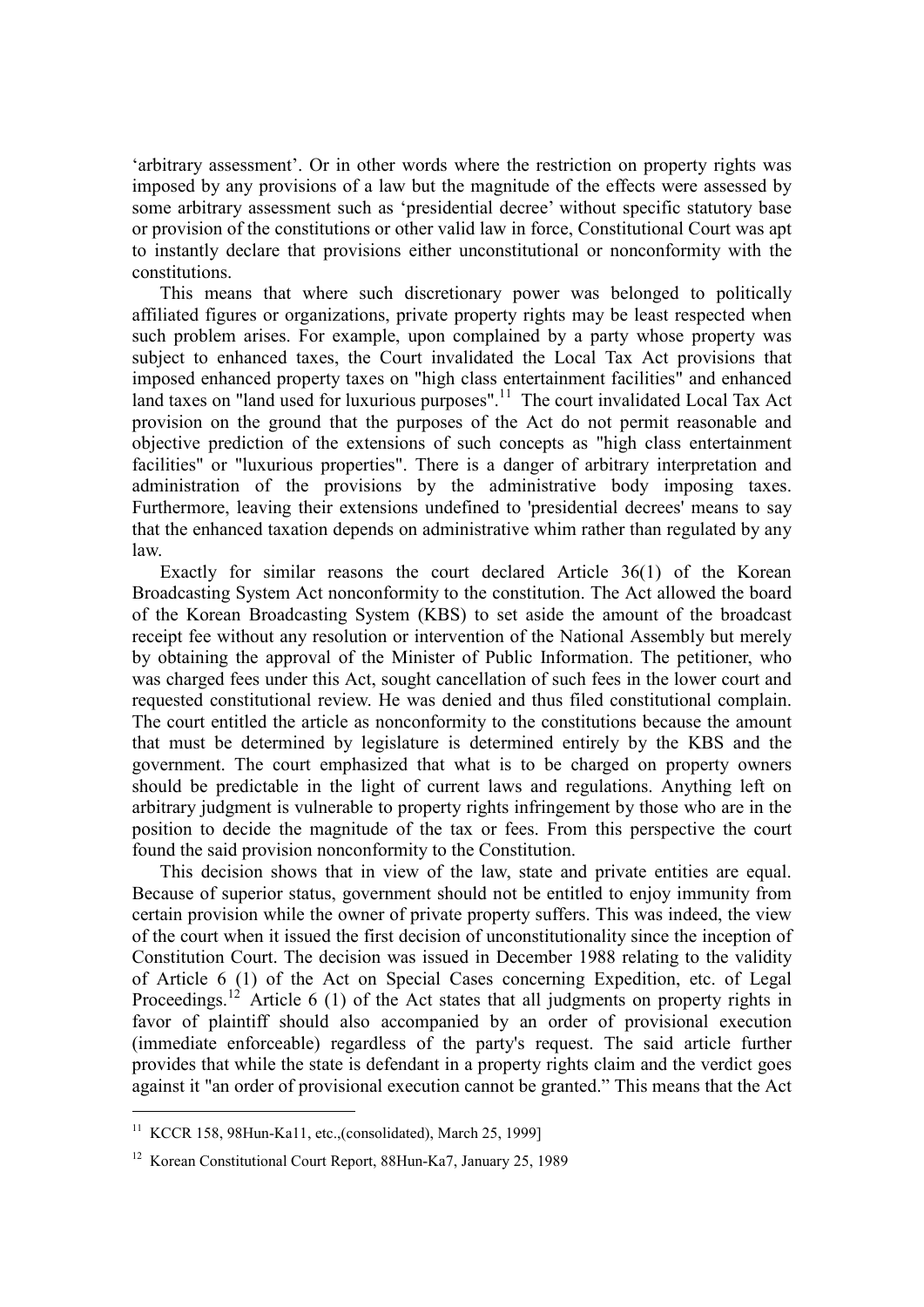'arbitrary assessment'. Or in other words where the restriction on property rights was imposed by any provisions of a law but the magnitude of the effects were assessed by some arbitrary assessment such as 'presidential decree' without specific statutory base or provision of the constitutions or other valid law in force, Constitutional Court was apt to instantly declare that provisions either unconstitutional or nonconformity with the constitutions.

 This means that where such discretionary power was belonged to politically affiliated figures or organizations, private property rights may be least respected when such problem arises. For example, upon complained by a party whose property was subject to enhanced taxes, the Court invalidated the Local Tax Act provisions that imposed enhanced property taxes on "high class entertainment facilities" and enhanced land taxes on "land used for luxurious purposes".<sup>11</sup> The court invalidated Local Tax Act provision on the ground that the purposes of the Act do not permit reasonable and objective prediction of the extensions of such concepts as "high class entertainment facilities" or "luxurious properties". There is a danger of arbitrary interpretation and administration of the provisions by the administrative body imposing taxes. Furthermore, leaving their extensions undefined to 'presidential decrees' means to say that the enhanced taxation depends on administrative whim rather than regulated by any law.

 Exactly for similar reasons the court declared Article 36(1) of the Korean Broadcasting System Act nonconformity to the constitution. The Act allowed the board of the Korean Broadcasting System (KBS) to set aside the amount of the broadcast receipt fee without any resolution or intervention of the National Assembly but merely by obtaining the approval of the Minister of Public Information. The petitioner, who was charged fees under this Act, sought cancellation of such fees in the lower court and requested constitutional review. He was denied and thus filed constitutional complain. The court entitled the article as nonconformity to the constitutions because the amount that must be determined by legislature is determined entirely by the KBS and the government. The court emphasized that what is to be charged on property owners should be predictable in the light of current laws and regulations. Anything left on arbitrary judgment is vulnerable to property rights infringement by those who are in the position to decide the magnitude of the tax or fees. From this perspective the court found the said provision nonconformity to the Constitution.

 This decision shows that in view of the law, state and private entities are equal. Because of superior status, government should not be entitled to enjoy immunity from certain provision while the owner of private property suffers. This was indeed, the view of the court when it issued the first decision of unconstitutionality since the inception of Constitution Court. The decision was issued in December 1988 relating to the validity of Article 6 (1) of the Act on Special Cases concerning Expedition, etc. of Legal Proceedings.<sup>12</sup> Article 6 (1) of the Act states that all judgments on property rights in favor of plaintiff should also accompanied by an order of provisional execution (immediate enforceable) regardless of the party's request. The said article further provides that while the state is defendant in a property rights claim and the verdict goes against it "an order of provisional execution cannot be granted." This means that the Act

<sup>&</sup>lt;sup>11</sup> KCCR 158, 98Hun-Ka11, etc.,(consolidated), March 25, 1999]

<sup>12</sup> Korean Constitutional Court Report, 88Hun-Ka7, January 25, 1989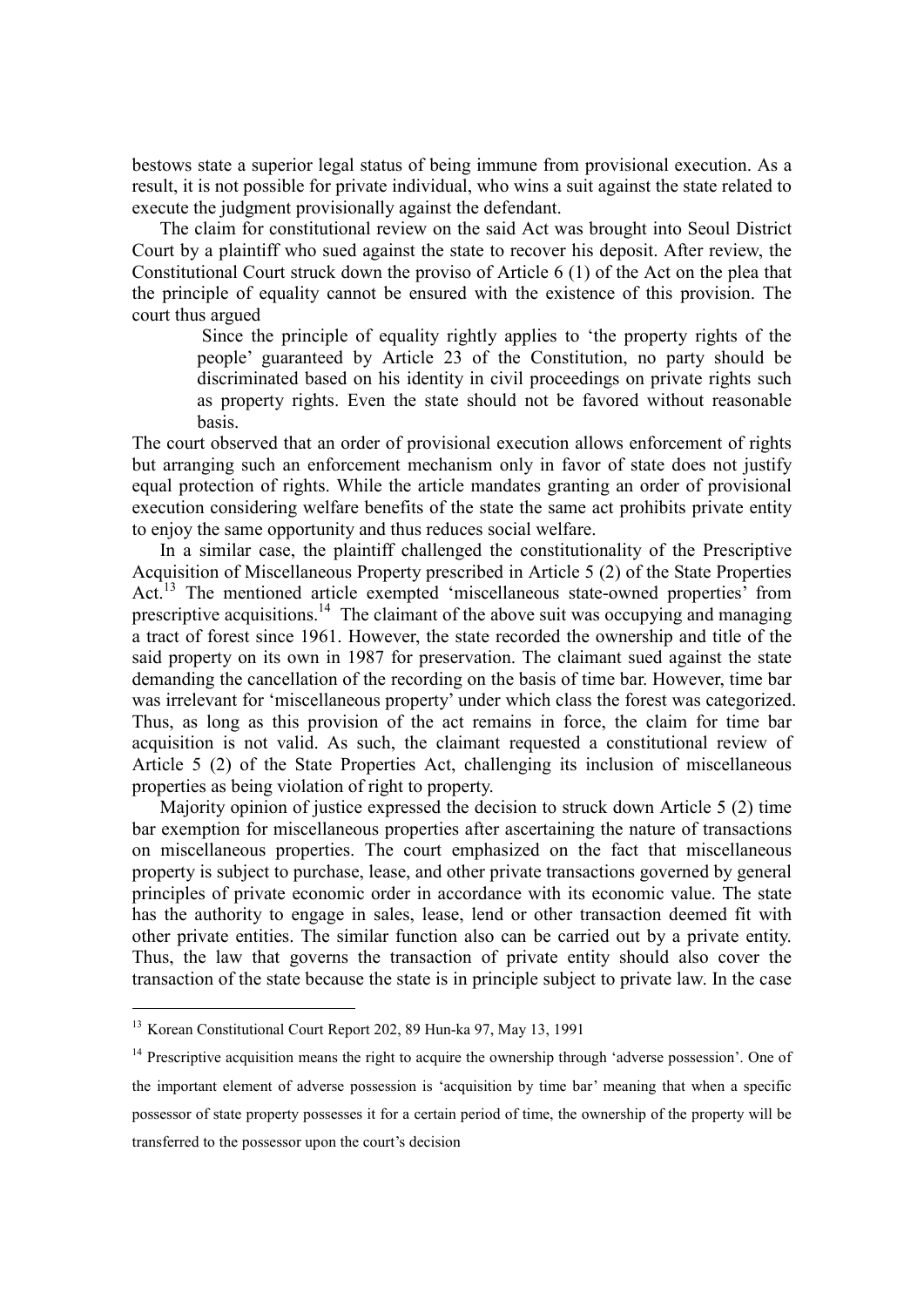bestows state a superior legal status of being immune from provisional execution. As a result, it is not possible for private individual, who wins a suit against the state related to execute the judgment provisionally against the defendant.

 The claim for constitutional review on the said Act was brought into Seoul District Court by a plaintiff who sued against the state to recover his deposit. After review, the Constitutional Court struck down the proviso of Article 6 (1) of the Act on the plea that the principle of equality cannot be ensured with the existence of this provision. The court thus argued

 Since the principle of equality rightly applies to 'the property rights of the people' guaranteed by Article 23 of the Constitution, no party should be discriminated based on his identity in civil proceedings on private rights such as property rights. Even the state should not be favored without reasonable basis.

The court observed that an order of provisional execution allows enforcement of rights but arranging such an enforcement mechanism only in favor of state does not justify equal protection of rights. While the article mandates granting an order of provisional execution considering welfare benefits of the state the same act prohibits private entity to enjoy the same opportunity and thus reduces social welfare.

 In a similar case, the plaintiff challenged the constitutionality of the Prescriptive Acquisition of Miscellaneous Property prescribed in Article 5 (2) of the State Properties Act.<sup>13</sup> The mentioned article exempted 'miscellaneous state-owned properties' from prescriptive acquisitions.<sup>14</sup> The claimant of the above suit was occupying and managing a tract of forest since 1961. However, the state recorded the ownership and title of the said property on its own in 1987 for preservation. The claimant sued against the state demanding the cancellation of the recording on the basis of time bar. However, time bar was irrelevant for 'miscellaneous property' under which class the forest was categorized. Thus, as long as this provision of the act remains in force, the claim for time bar acquisition is not valid. As such, the claimant requested a constitutional review of Article 5 (2) of the State Properties Act, challenging its inclusion of miscellaneous properties as being violation of right to property.

 Majority opinion of justice expressed the decision to struck down Article 5 (2) time bar exemption for miscellaneous properties after ascertaining the nature of transactions on miscellaneous properties. The court emphasized on the fact that miscellaneous property is subject to purchase, lease, and other private transactions governed by general principles of private economic order in accordance with its economic value. The state has the authority to engage in sales, lease, lend or other transaction deemed fit with other private entities. The similar function also can be carried out by a private entity. Thus, the law that governs the transaction of private entity should also cover the transaction of the state because the state is in principle subject to private law. In the case

<sup>&</sup>lt;sup>13</sup> Korean Constitutional Court Report 202, 89 Hun-ka 97, May 13, 1991

<sup>&</sup>lt;sup>14</sup> Prescriptive acquisition means the right to acquire the ownership through 'adverse possession'. One of the important element of adverse possession is 'acquisition by time bar' meaning that when a specific possessor of state property possesses it for a certain period of time, the ownership of the property will be transferred to the possessor upon the court's decision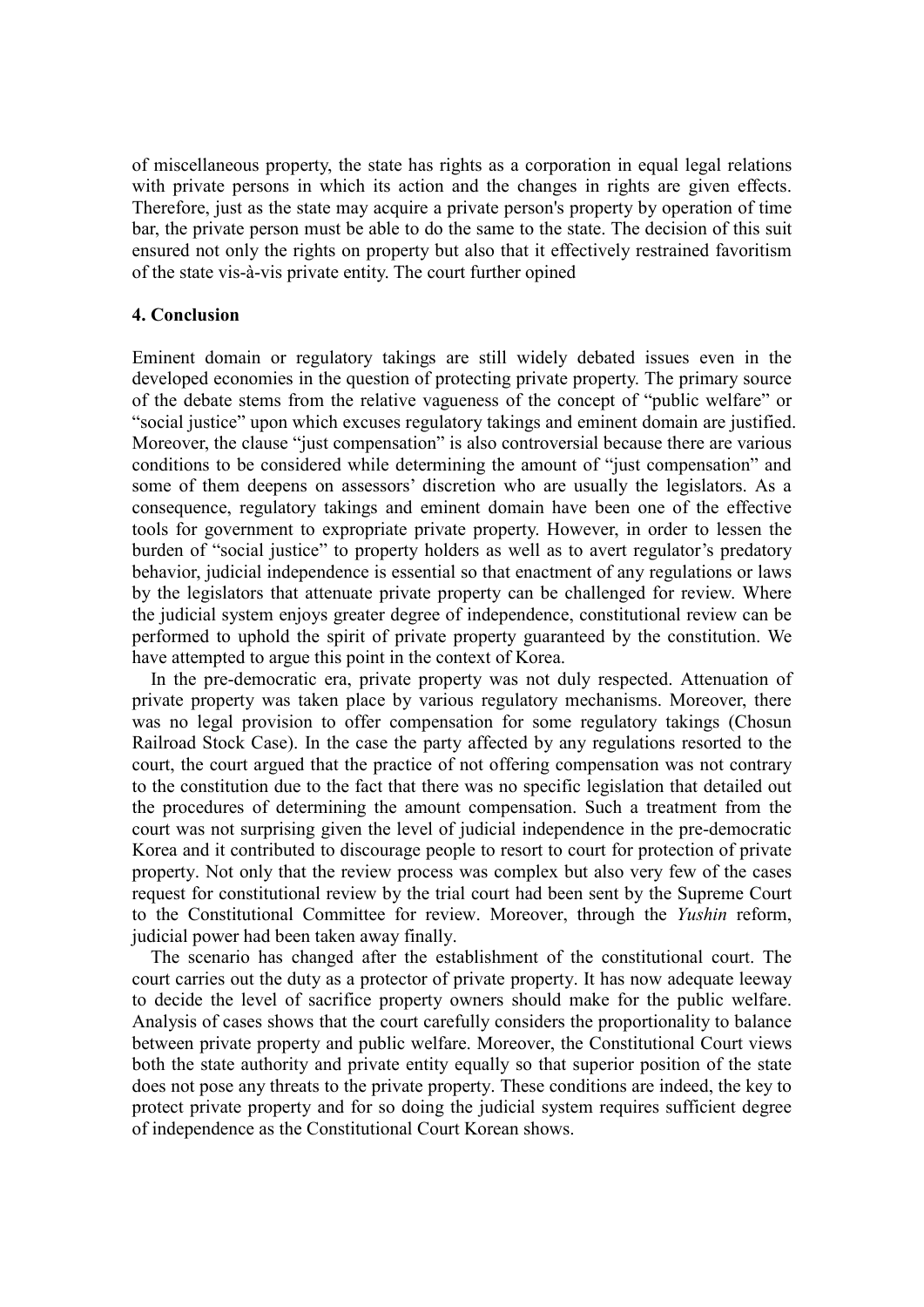of miscellaneous property, the state has rights as a corporation in equal legal relations with private persons in which its action and the changes in rights are given effects. Therefore, just as the state may acquire a private person's property by operation of time bar, the private person must be able to do the same to the state. The decision of this suit ensured not only the rights on property but also that it effectively restrained favoritism of the state vis-à-vis private entity. The court further opined

## **4. Conclusion**

Eminent domain or regulatory takings are still widely debated issues even in the developed economies in the question of protecting private property. The primary source of the debate stems from the relative vagueness of the concept of "public welfare" or "social justice" upon which excuses regulatory takings and eminent domain are justified. Moreover, the clause "just compensation" is also controversial because there are various conditions to be considered while determining the amount of "just compensation" and some of them deepens on assessors' discretion who are usually the legislators. As a consequence, regulatory takings and eminent domain have been one of the effective tools for government to expropriate private property. However, in order to lessen the burden of "social justice" to property holders as well as to avert regulator's predatory behavior, judicial independence is essential so that enactment of any regulations or laws by the legislators that attenuate private property can be challenged for review. Where the judicial system enjoys greater degree of independence, constitutional review can be performed to uphold the spirit of private property guaranteed by the constitution. We have attempted to argue this point in the context of Korea.

 In the pre-democratic era, private property was not duly respected. Attenuation of private property was taken place by various regulatory mechanisms. Moreover, there was no legal provision to offer compensation for some regulatory takings (Chosun Railroad Stock Case). In the case the party affected by any regulations resorted to the court, the court argued that the practice of not offering compensation was not contrary to the constitution due to the fact that there was no specific legislation that detailed out the procedures of determining the amount compensation. Such a treatment from the court was not surprising given the level of judicial independence in the pre-democratic Korea and it contributed to discourage people to resort to court for protection of private property. Not only that the review process was complex but also very few of the cases request for constitutional review by the trial court had been sent by the Supreme Court to the Constitutional Committee for review. Moreover, through the *Yushin* reform, judicial power had been taken away finally.

 The scenario has changed after the establishment of the constitutional court. The court carries out the duty as a protector of private property. It has now adequate leeway to decide the level of sacrifice property owners should make for the public welfare. Analysis of cases shows that the court carefully considers the proportionality to balance between private property and public welfare. Moreover, the Constitutional Court views both the state authority and private entity equally so that superior position of the state does not pose any threats to the private property. These conditions are indeed, the key to protect private property and for so doing the judicial system requires sufficient degree of independence as the Constitutional Court Korean shows.